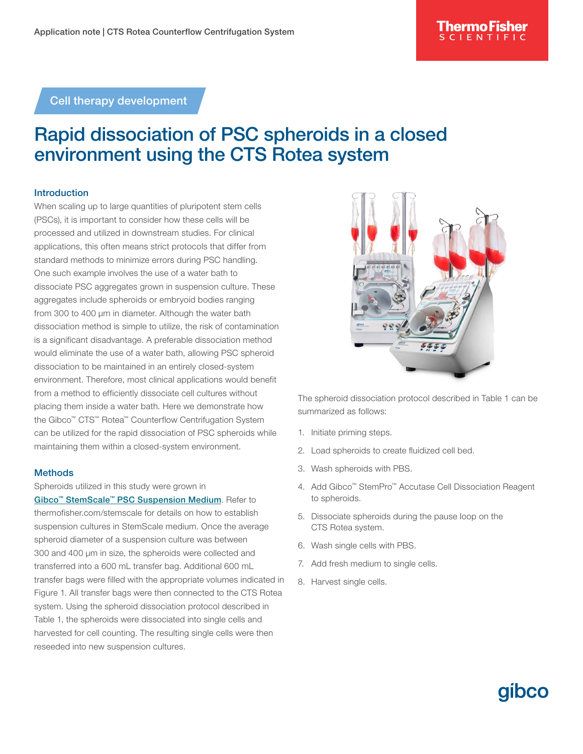Cell therapy development

# Rapid dissociation of PSC spheroids in a closed environment using the CTS Rotea system

### Introduction

When scaling up to large quantities of pluripotent stem cells (PSCs), it is important to consider how these cells will be processed and utilized in downstream studies. For clinical applications, this often means strict protocols that differ from standard methods to minimize errors during PSC handling. One such example involves the use of a water bath to dissociate PSC aggregates grown in suspension culture. These aggregates include spheroids or embryoid bodies ranging from 300 to 400 µm in diameter. Although the water bath dissociation method is simple to utilize, the risk of contamination is a significant disadvantage. A preferable dissociation method would eliminate the use of a water bath, allowing PSC spheroid dissociation to be maintained in an entirely closed-system environment. Therefore, most clinical applications would benefit from a method to efficiently dissociate cell cultures without placing them inside a water bath. Here we demonstrate how the Gibco™ CTS™ Rotea™ Counterflow Centrifugation System can be utilized for the rapid dissociation of PSC spheroids while maintaining them within a closed-system environment.

#### **Methods**

Spheroids utilized in this study were grown in

[Gibco™ StemScale™ PSC Suspension Medium](http://thermofisher.com/stemscale). Refer to [thermofisher.com/stemscale](https://www.thermofisher.com/us/en/home/life-science/stem-cell-research/induced-pluripotent-stem-cells/stemscale-psc-suspension-medium.html) for details on how to establish suspension cultures in StemScale medium. Once the average spheroid diameter of a suspension culture was between 300 and 400 µm in size, the spheroids were collected and transferred into a 600 mL transfer bag. Additional 600 mL transfer bags were filled with the appropriate volumes indicated in Figure 1. All transfer bags were then connected to the CTS Rotea system. Using the spheroid dissociation protocol described in Table 1, the spheroids were dissociated into single cells and harvested for cell counting. The resulting single cells were then reseeded into new suspension cultures.



The spheroid dissociation protocol described in Table 1 can be summarized as follows:

- 1. Initiate priming steps.
- 2. Load spheroids to create fluidized cell bed.
- 3. Wash spheroids with PBS.
- 4. Add Gibco™ StemPro™ Accutase Cell Dissociation Reagent to spheroids.

**aibco** 

- 5. Dissociate spheroids during the pause loop on the CTS Rotea system.
- 6. Wash single cells with PBS.
- 7. Add fresh medium to single cells.
- 8. Harvest single cells.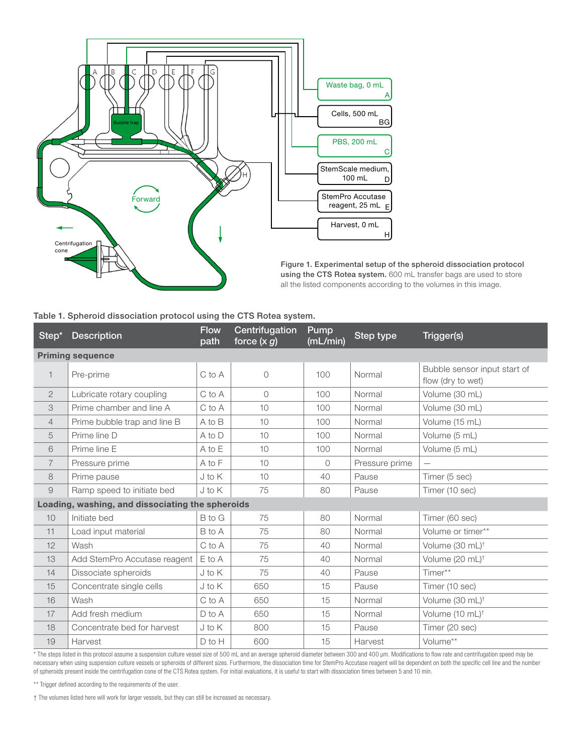

Figure 1. Experimental setup of the spheroid dissociation protocol using the CTS Rotea system. 600 mL transfer bags are used to store all the listed components according to the volumes in this image.

#### Table 1. Spheroid dissociation protocol using the CTS Rotea system.

| Step <sup>*</sup> | <b>Description</b>                               | <b>Flow</b><br>path | Centrifugation<br>force $(x\overline{g})$ | Pump<br>(mL/min) | <b>Step type</b> | Trigger(s)                                        |
|-------------------|--------------------------------------------------|---------------------|-------------------------------------------|------------------|------------------|---------------------------------------------------|
|                   | <b>Priming sequence</b>                          |                     |                                           |                  |                  |                                                   |
| $\mathbf{1}$      | Pre-prime                                        | C to A              | $\mathsf O$                               | 100              | Normal           | Bubble sensor input start of<br>flow (dry to wet) |
| $\mathbf{2}$      | Lubricate rotary coupling                        | C to A              | $\Omega$                                  | 100              | Normal           | Volume (30 mL)                                    |
| 3                 | Prime chamber and line A                         | C to A              | 10                                        | 100              | Normal           | Volume (30 mL)                                    |
| $\overline{4}$    | Prime bubble trap and line B                     | A to B              | 10                                        | 100              | Normal           | Volume (15 mL)                                    |
| 5                 | Prime line D                                     | A to D              | 10                                        | 100              | Normal           | Volume (5 mL)                                     |
| 6                 | Prime line E                                     | A to E              | 10                                        | 100              | Normal           | Volume (5 mL)                                     |
| $\overline{7}$    | Pressure prime                                   | A to F              | 10 <sup>1</sup>                           | $\Omega$         | Pressure prime   |                                                   |
| 8                 | Prime pause                                      | J to K              | 10 <sup>1</sup>                           | 40               | Pause            | Timer (5 sec)                                     |
| $\hbox{9}$        | Ramp speed to initiate bed                       | $J$ to $K$          | 75                                        | 80               | Pause            | Timer (10 sec)                                    |
|                   | Loading, washing, and dissociating the spheroids |                     |                                           |                  |                  |                                                   |
| 10                | Initiate bed                                     | <b>B</b> to G       | 75                                        | 80               | Normal           | Timer (60 sec)                                    |
| 11                | Load input material                              | B to A              | 75                                        | 80               | Normal           | Volume or timer**                                 |
| 12                | Wash                                             | C to A              | 75                                        | 40               | Normal           | Volume (30 mL) <sup>†</sup>                       |
| 13                | Add StemPro Accutase reagent                     | $E$ to $A$          | 75                                        | 40               | Normal           | Volume (20 mL) <sup>†</sup>                       |
| 14                | Dissociate spheroids                             | $J$ to $K$          | 75                                        | 40               | Pause            | Timer**                                           |
| 15                | Concentrate single cells                         | J to K              | 650                                       | 15               | Pause            | Timer (10 sec)                                    |
| 16                | Wash                                             | C to A              | 650                                       | 15               | Normal           | Volume (30 mL) <sup>+</sup>                       |
| 17                | Add fresh medium                                 | $D$ to $A$          | 650                                       | 15               | Normal           | Volume (10 mL) <sup>†</sup>                       |
| 18                | Concentrate bed for harvest                      | $J$ to $K$          | 800                                       | 15               | Pause            | Timer (20 sec)                                    |
| 19                | Harvest                                          | D to H              | 600                                       | 15               | Harvest          | Volume**                                          |

\* The steps listed in this protocol assume a suspension culture vessel size of 500 mL and an average spheroid diameter between 300 and 400 µm. Modifications to flow rate and centrifugation speed may be necessary when using suspension culture vessels or spheroids of different sizes. Furthermore, the dissociation time for StemPro Accutase reagent will be dependent on both the specific cell line and the number of spheroids present inside the centrifugation cone of the CTS Rotea system. For initial evaluations, it is useful to start with dissociation times between 5 and 10 min.

\*\* Trigger defined according to the requirements of the user.

† The volumes listed here will work for larger vessels, but they can still be increased as necessary.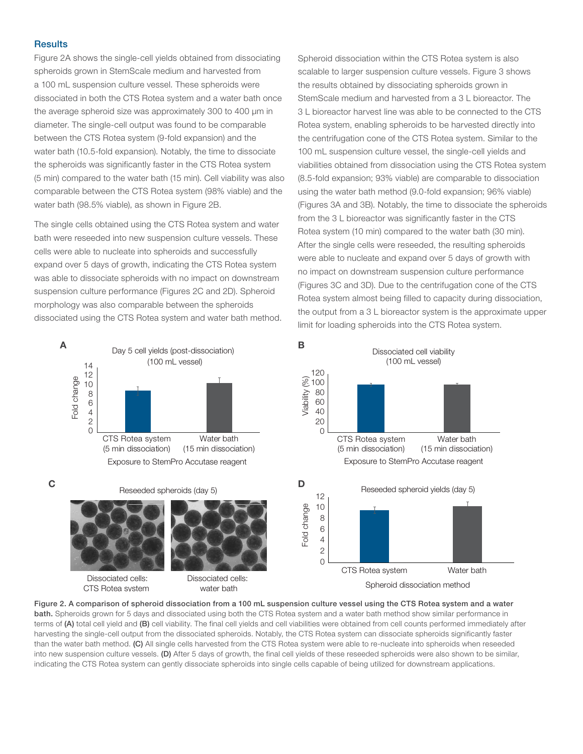#### **Results**

Figure 2A shows the single-cell yields obtained from dissociating spheroids grown in StemScale medium and harvested from a 100 mL suspension culture vessel. These spheroids were dissociated in both the CTS Rotea system and a water bath once the average spheroid size was approximately 300 to 400 µm in diameter. The single-cell output was found to be comparable between the CTS Rotea system (9-fold expansion) and the water bath (10.5-fold expansion). Notably, the time to dissociate the spheroids was significantly faster in the CTS Rotea system (5 min) compared to the water bath (15 min). Cell viability was also comparable between the CTS Rotea system (98% viable) and the water bath (98.5% viable), as shown in Figure 2B.

The single cells obtained using the CTS Rotea system and water bath were reseeded into new suspension culture vessels. These cells were able to nucleate into spheroids and successfully expand over 5 days of growth, indicating the CTS Rotea system was able to dissociate spheroids with no impact on downstream suspension culture performance (Figures 2C and 2D). Spheroid morphology was also comparable between the spheroids dissociated using the CTS Rotea system and water bath method. Spheroid dissociation within the CTS Rotea system is also scalable to larger suspension culture vessels. Figure 3 shows the results obtained by dissociating spheroids grown in StemScale medium and harvested from a 3 L bioreactor. The 3 L bioreactor harvest line was able to be connected to the CTS Rotea system, enabling spheroids to be harvested directly into the centrifugation cone of the CTS Rotea system. Similar to the 100 mL suspension culture vessel, the single-cell yields and viabilities obtained from dissociation using the CTS Rotea system (8.5-fold expansion; 93% viable) are comparable to dissociation using the water bath method (9.0-fold expansion; 96% viable) (Figures 3A and 3B). Notably, the time to dissociate the spheroids from the 3 L bioreactor was significantly faster in the CTS Rotea system (10 min) compared to the water bath (30 min). After the single cells were reseeded, the resulting spheroids were able to nucleate and expand over 5 days of growth with no impact on downstream suspension culture performance (Figures 3C and 3D). Due to the centrifugation cone of the CTS Rotea system almost being filled to capacity during dissociation, the output from a 3 L bioreactor system is the approximate upper limit for loading spheroids into the CTS Rotea system.



Figure 2. A comparison of spheroid dissociation from a 100 mL suspension culture vessel using the CTS Rotea system and a water bath. Spheroids grown for 5 days and dissociated using both the CTS Rotea system and a water bath method show similar performance in terms of (A) total cell yield and (B) cell viability. The final cell yields and cell viabilities were obtained from cell counts performed immediately after harvesting the single-cell output from the dissociated spheroids. Notably, the CTS Rotea system can dissociate spheroids significantly faster than the water bath method. (C) All single cells harvested from the CTS Rotea system were able to re-nucleate into spheroids when reseeded into new suspension culture vessels. (D) After 5 days of growth, the final cell yields of these reseeded spheroids were also shown to be similar, indicating the CTS Rotea system can gently dissociate spheroids into single cells capable of being utilized for downstream applications.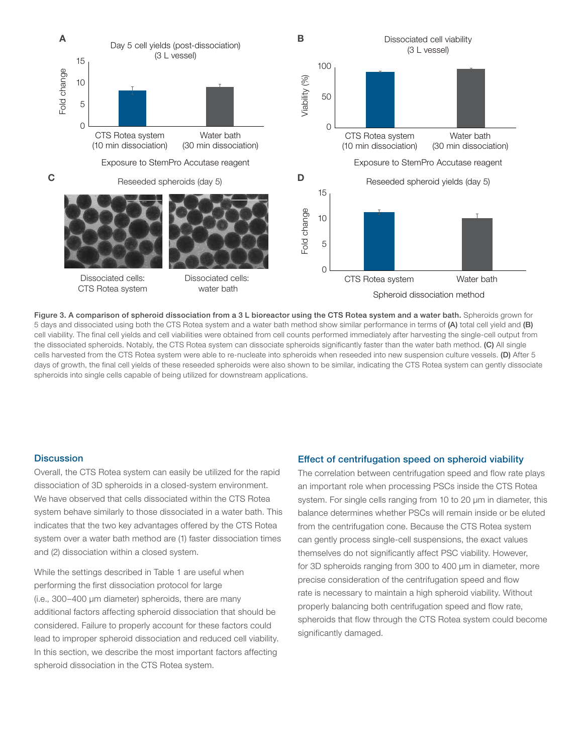

Figure 3. A comparison of spheroid dissociation from a 3 L bioreactor using the CTS Rotea system and a water bath. Spheroids grown for 5 days and dissociated using both the CTS Rotea system and a water bath method show similar performance in terms of (A) total cell yield and (B) cell viability. The final cell yields and cell viabilities were obtained from cell counts performed immediately after harvesting the single-cell output from the dissociated spheroids. Notably, the CTS Rotea system can dissociate spheroids significantly faster than the water bath method. (C) All single cells harvested from the CTS Rotea system were able to re-nucleate into spheroids when reseeded into new suspension culture vessels. (D) After 5 days of growth, the final cell yields of these reseeded spheroids were also shown to be similar, indicating the CTS Rotea system can gently dissociate spheroids into single cells capable of being utilized for downstream applications.

#### **Discussion**

Overall, the CTS Rotea system can easily be utilized for the rapid dissociation of 3D spheroids in a closed-system environment. We have observed that cells dissociated within the CTS Rotea system behave similarly to those dissociated in a water bath. This indicates that the two key advantages offered by the CTS Rotea system over a water bath method are (1) faster dissociation times and (2) dissociation within a closed system.

While the settings described in Table 1 are useful when performing the first dissociation protocol for large (i.e., 300–400 µm diameter) spheroids, there are many additional factors affecting spheroid dissociation that should be considered. Failure to properly account for these factors could lead to improper spheroid dissociation and reduced cell viability. In this section, we describe the most important factors affecting spheroid dissociation in the CTS Rotea system.

#### Effect of centrifugation speed on spheroid viability

The correlation between centrifugation speed and flow rate plays an important role when processing PSCs inside the CTS Rotea system. For single cells ranging from 10 to 20  $\mu$ m in diameter, this balance determines whether PSCs will remain inside or be eluted from the centrifugation cone. Because the CTS Rotea system can gently process single-cell suspensions, the exact values themselves do not significantly affect PSC viability. However, for 3D spheroids ranging from 300 to 400 µm in diameter, more precise consideration of the centrifugation speed and flow rate is necessary to maintain a high spheroid viability. Without properly balancing both centrifugation speed and flow rate, spheroids that flow through the CTS Rotea system could become significantly damaged.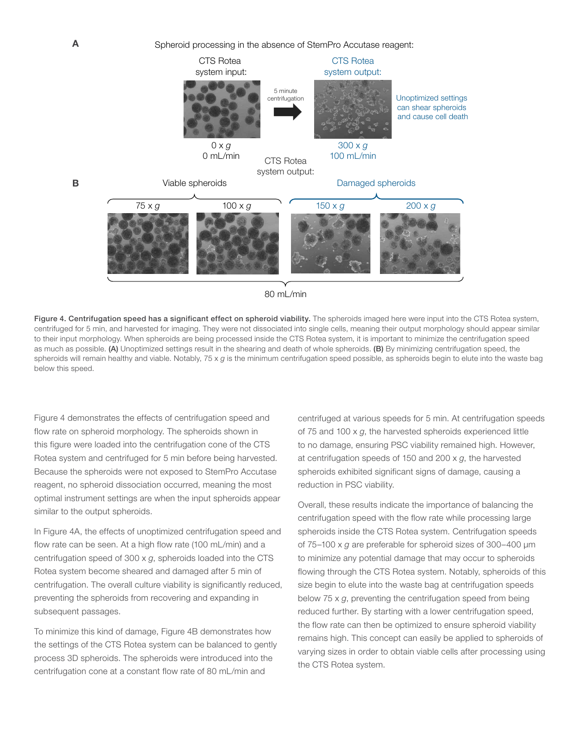



Figure 4. Centrifugation speed has a significant effect on spheroid viability. The spheroids imaged here were input into the CTS Rotea system, centrifuged for 5 min, and harvested for imaging. They were not dissociated into single cells, meaning their output morphology should appear similar to their input morphology. When spheroids are being processed inside the CTS Rotea system, it is important to minimize the centrifugation speed as much as possible. (A) Unoptimized settings result in the shearing and death of whole spheroids. (B) By minimizing centrifugation speed, the spheroids will remain healthy and viable. Notably, 75 x *g* is the minimum centrifugation speed possible, as spheroids begin to elute into the waste bag below this speed.

Figure 4 demonstrates the effects of centrifugation speed and flow rate on spheroid morphology. The spheroids shown in this figure were loaded into the centrifugation cone of the CTS Rotea system and centrifuged for 5 min before being harvested. Because the spheroids were not exposed to StemPro Accutase reagent, no spheroid dissociation occurred, meaning the most optimal instrument settings are when the input spheroids appear similar to the output spheroids.

In Figure 4A, the effects of unoptimized centrifugation speed and flow rate can be seen. At a high flow rate (100 mL/min) and a centrifugation speed of 300 x *g*, spheroids loaded into the CTS Rotea system become sheared and damaged after 5 min of centrifugation. The overall culture viability is significantly reduced, preventing the spheroids from recovering and expanding in subsequent passages.

To minimize this kind of damage, Figure 4B demonstrates how the settings of the CTS Rotea system can be balanced to gently process 3D spheroids. The spheroids were introduced into the centrifugation cone at a constant flow rate of 80 mL/min and

centrifuged at various speeds for 5 min. At centrifugation speeds of 75 and 100 x *g*, the harvested spheroids experienced little to no damage, ensuring PSC viability remained high. However, at centrifugation speeds of 150 and 200 x *g*, the harvested spheroids exhibited significant signs of damage, causing a reduction in PSC viability.

Overall, these results indicate the importance of balancing the centrifugation speed with the flow rate while processing large spheroids inside the CTS Rotea system. Centrifugation speeds of 75–100 x *g* are preferable for spheroid sizes of 300–400 µm to minimize any potential damage that may occur to spheroids flowing through the CTS Rotea system. Notably, spheroids of this size begin to elute into the waste bag at centrifugation speeds below 75 x *g*, preventing the centrifugation speed from being reduced further. By starting with a lower centrifugation speed, the flow rate can then be optimized to ensure spheroid viability remains high. This concept can easily be applied to spheroids of varying sizes in order to obtain viable cells after processing using the CTS Rotea system.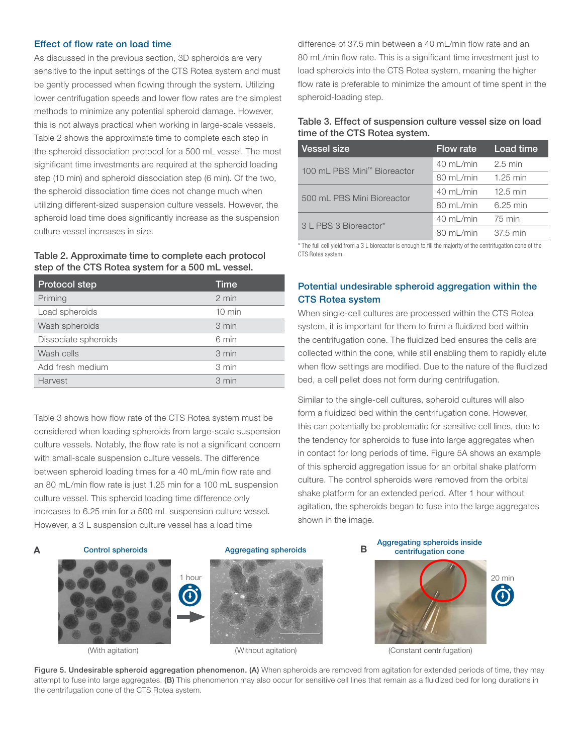#### Effect of flow rate on load time

As discussed in the previous section, 3D spheroids are very sensitive to the input settings of the CTS Rotea system and must be gently processed when flowing through the system. Utilizing lower centrifugation speeds and lower flow rates are the simplest methods to minimize any potential spheroid damage. However, this is not always practical when working in large-scale vessels. Table 2 shows the approximate time to complete each step in the spheroid dissociation protocol for a 500 mL vessel. The most significant time investments are required at the spheroid loading step (10 min) and spheroid dissociation step (6 min). Of the two, the spheroid dissociation time does not change much when utilizing different-sized suspension culture vessels. However, the spheroid load time does significantly increase as the suspension culture vessel increases in size.

#### Table 2. Approximate time to complete each protocol step of the CTS Rotea system for a 500 mL vessel.

| <b>Protocol step</b> | Time             |
|----------------------|------------------|
| Priming              | $2 \text{ min}$  |
| Load spheroids       | $10 \text{ min}$ |
| Wash spheroids       | 3 min            |
| Dissociate spheroids | 6 min            |
| Wash cells           | 3 min            |
| Add fresh medium     | 3 min            |
| Harvest              | 3 min            |

Table 3 shows how flow rate of the CTS Rotea system must be considered when loading spheroids from large-scale suspension culture vessels. Notably, the flow rate is not a significant concern with small-scale suspension culture vessels. The difference between spheroid loading times for a 40 mL/min flow rate and an 80 mL/min flow rate is just 1.25 min for a 100 mL suspension culture vessel. This spheroid loading time difference only increases to 6.25 min for a 500 mL suspension culture vessel. However, a 3 L suspension culture vessel has a load time



# A Control spheroids **B** Aggregating spheroids **B**



difference of 37.5 min between a 40 mL/min flow rate and an 80 mL/min flow rate. This is a significant time investment just to load spheroids into the CTS Rotea system, meaning the higher flow rate is preferable to minimize the amount of time spent in the spheroid-loading step.

## Table 3. Effect of suspension culture vessel size on load time of the CTS Rotea system.

| <b>Vessel size</b>          | Flow rate           | Load time          |
|-----------------------------|---------------------|--------------------|
| 100 mL PBS Mini™ Bioreactor | 40 mL/min           | $2.5 \text{ min}$  |
|                             | $80 \text{ mL/min}$ | $1.25$ min         |
| 500 mL PBS Mini Bioreactor  | 40 mL/min           | $12.5 \text{ min}$ |
|                             | $80 \text{ mL/min}$ | 6.25 min           |
| 31 PBS 3 Bioreactor*        | $40 \text{ mL/min}$ | 75 min             |
|                             | $80 \text{ mL/min}$ | 37.5 min           |

\* The full cell yield from a 3 L bioreactor is enough to fill the majority of the centrifugation cone of the CTS Rotea system.

# Potential undesirable spheroid aggregation within the CTS Rotea system

When single-cell cultures are processed within the CTS Rotea system, it is important for them to form a fluidized bed within the centrifugation cone. The fluidized bed ensures the cells are collected within the cone, while still enabling them to rapidly elute when flow settings are modified. Due to the nature of the fluidized bed, a cell pellet does not form during centrifugation.

Similar to the single-cell cultures, spheroid cultures will also form a fluidized bed within the centrifugation cone. However, this can potentially be problematic for sensitive cell lines, due to the tendency for spheroids to fuse into large aggregates when in contact for long periods of time. Figure 5A shows an example of this spheroid aggregation issue for an orbital shake platform culture. The control spheroids were removed from the orbital shake platform for an extended period. After 1 hour without agitation, the spheroids began to fuse into the large aggregates shown in the image.





(With agitation) (Without agitation) (Constant centrifugation)

Figure 5. Undesirable spheroid aggregation phenomenon. (A) When spheroids are removed from agitation for extended periods of time, they may attempt to fuse into large aggregates. (B) This phenomenon may also occur for sensitive cell lines that remain as a fluidized bed for long durations in the centrifugation cone of the CTS Rotea system.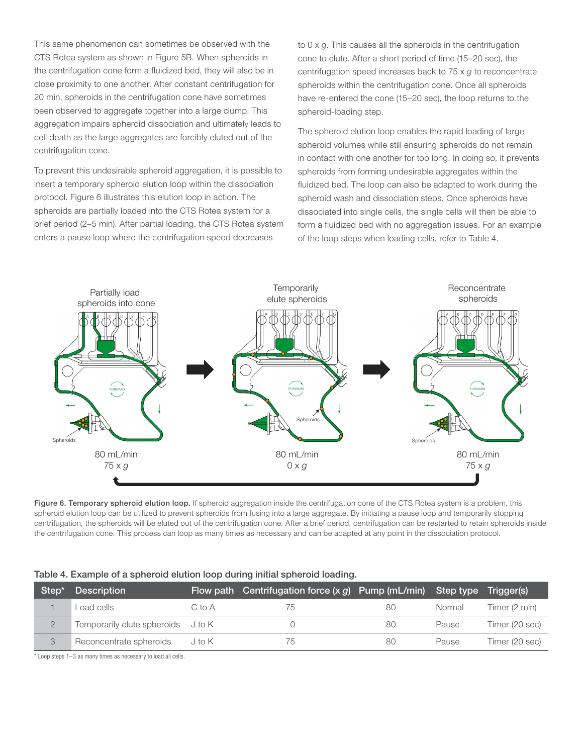This same phenomenon can sometimes be observed with the CTS Rotea system as shown in Figure 5B. When spheroids in the centrifugation cone form a fluidized bed, they will also be in close proximity to one another. After constant centrifugation for 20 min, spheroids in the centrifugation cone have sometimes been observed to aggregate together into a large clump. This aggregation impairs spheroid dissociation and ultimately leads to cell death as the large aggregates are forcibly eluted out of the centrifugation cone.

To prevent this undesirable spheroid aggregation, it is possible to insert a temporary spheroid elution loop within the dissociation protocol. Figure 6 illustrates this elution loop in action. The spheroids are partially loaded into the CTS Rotea system for a brief period (2–5 min). After partial loading, the CTS Rotea system enters a pause loop where the centrifugation speed decreases

to 0 x *g*. This causes all the spheroids in the centrifugation cone to elute. After a short period of time (15–20 sec), the centrifugation speed increases back to 75 x *g* to reconcentrate spheroids within the centrifugation cone. Once all spheroids have re-entered the cone (15–20 sec), the loop returns to the spheroid-loading step.

The spheroid elution loop enables the rapid loading of large spheroid volumes while still ensuring spheroids do not remain in contact with one another for too long. In doing so, it prevents spheroids from forming undesirable aggregates within the fluidized bed. The loop can also be adapted to work during the spheroid wash and dissociation steps. Once spheroids have dissociated into single cells, the single cells will then be able to form a fluidized bed with no aggregation issues. For an example of the loop steps when loading cells, refer to Table 4.



Figure 6. Temporary spheroid elution loop. If spheroid aggregation inside the centrifugation cone of the CTS Rotea system is a problem, this spheroid elution loop can be utilized to prevent spheroids from fusing into a large aggregate. By initiating a pause loop and temporarily stopping centrifugation, the spheroids will be eluted out of the centrifugation cone. After a brief period, centrifugation can be restarted to retain spheroids inside the centrifugation cone. This process can loop as many times as necessary and can be adapted at any point in the dissociation protocol.

#### Table 4. Example of a spheroid elution loop during initial spheroid loading.

| Step <sup>*</sup> | <b>Description</b>                 |        | Flow path Centrifugation force $(x, g)$ Pump (mL/min) Step type |    |        | Triager(s)     |
|-------------------|------------------------------------|--------|-----------------------------------------------------------------|----|--------|----------------|
|                   | Load cells                         | C to A | 75                                                              | 80 | Normal | Timer (2 min)  |
|                   | Temporarily elute spheroids J to K |        |                                                                 | 80 | Pause  | Timer (20 sec) |
|                   | Reconcentrate spheroids            | J to K | 75                                                              | 80 | Pause  | Timer (20 sec) |

\* Loop steps 1–3 as many times as necessary to load all cells.